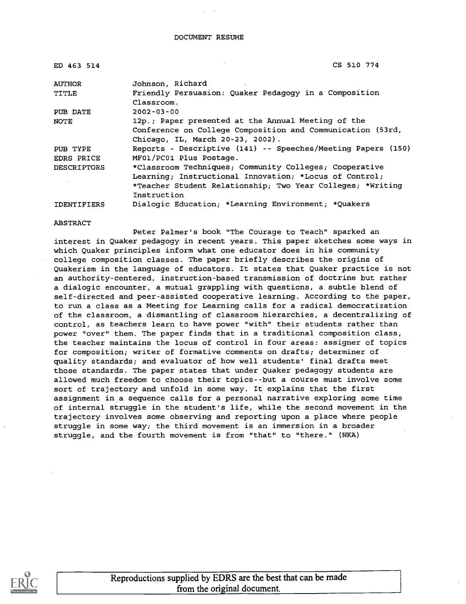| ED 463 514         | CS 510 774                                                   |
|--------------------|--------------------------------------------------------------|
| <b>AUTHOR</b>      | Johnson, Richard                                             |
| TITLE              | Friendly Persuasion: Quaker Pedagogy in a Composition        |
|                    | Classroom.                                                   |
| PUB DATE           | $2002 - 03 - 00$                                             |
| NOTE               | 12p.; Paper presented at the Annual Meeting of the           |
|                    | Conference on College Composition and Communication (53rd,   |
|                    | Chicago, IL, March 20-23, 2002).                             |
| PUB TYPE           | Reports - Descriptive (141) -- Speeches/Meeting Papers (150) |
| EDRS PRICE         | MF01/PC01 Plus Postage.                                      |
| <b>DESCRIPTORS</b> | *Classroom Techniques; Community Colleges; Cooperative       |
|                    | Learning; Instructional Innovation; *Locus of Control;       |
|                    | *Teacher Student Relationship; Two Year Colleges; *Writing   |
|                    | Instruction                                                  |
| <b>IDENTIFIERS</b> | Dialogic Education; *Learning Environment; *Quakers          |

#### ABSTRACT

Peter Palmer's book "The Courage to Teach" sparked an interest in Quaker pedagogy in recent years. This paper sketches some ways in which Quaker principles inform what one educator does in his community college composition classes. The paper briefly describes the origins of Quakerism in the language of educators. It states that Quaker practice is not an authority-centered, instruction-based transmission of doctrine but rather a dialogic encounter, a mutual grappling with questions, a subtle blend of self-directed and peer-assisted cooperative learning. According to the paper, to run a class as a Meeting for Learning calls for a radical democratization of the classroom, a dismantling of classroom hierarchies, a decentralizing of control, as teachers learn to have power "with" their students rather than power "over" them. The paper finds that in a traditional composition class, the teacher maintains the locus of control in four areas: assigner of topics for composition; writer of formative comments on drafts; determiner of quality standards; and evaluator of how well students' final drafts meet those standards. The paper states that under Quaker pedagogy students are allowed much freedom to choose their topics--but a course must involve some sort of trajectory and unfold in some way. It explains that the first assignment in a sequence calls for a personal narrative exploring some time of internal struggle in the student's life, while the second movement in the trajectory involves some observing and reporting upon a place where people struggle in some way; the third movement is an immersion in a broader struggle, and the fourth movement is from "that" to "there." (NKA)

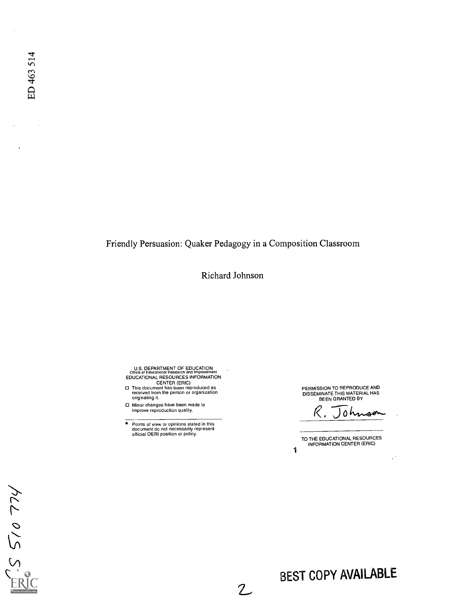Friendly Persuasion: Quaker Pedagogy in a Composition Classroom

Richard Johnson

 $\overline{2}$ 

U.S. DEPARTMENT OF EDUCATION Office of Educational Research and Improvement EDUCATIONAL RESOURCES INFORMATION

CENTER (ERIC) O This document has been reproduced as received from the person or organization originating it.

O Minor changes have been made to improve reproduction quality.

 $\bullet$ Points of view or opinions stated in this document do not necessarily represent official OERI position or policy. PERMISSION TO REPRODUCE AND DISSEMINATE THIS MATERIAL HAS BEEN GRANTED BY

 $\mathcal R$  . Johnso

Ù.

TO THE EDUCATIONAL RESOURCES INFORMATION CENTER (ERIC)

1

 $\dot{\gamma}$ LL 015 5'

# BEST COPY AVAILABLE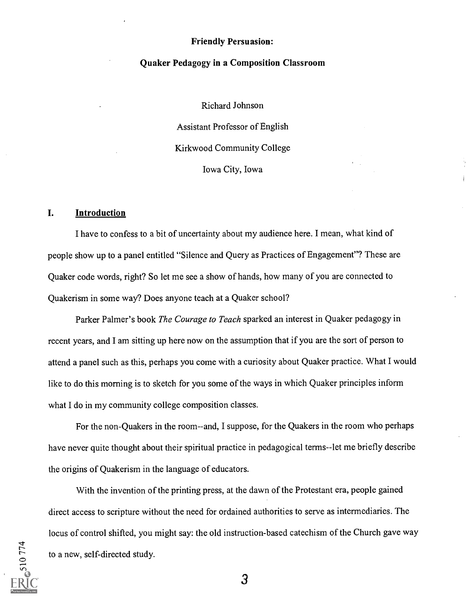#### Friendly Persuasion:

#### Quaker Pedagogy in a Composition Classroom

Richard Johnson

Assistant Professor of English Kirkwood Community College Iowa City, Iowa

#### I. Introduction

I have to confess to a bit of uncertainty about my audience here. I mean, what kind of people show up to a panel entitled "Silence and Query as Practices of Engagement"? These are Quaker code words, right? So let me see a show of hands, how many of you are connected to Quakerism in some way? Does anyone teach at a Quaker school?

Parker Palmer's book *The Courage to Teach* sparked an interest in Quaker pedagogy in recent years, and I am sitting up here now on the assumption that if you are the sort of person to attend a panel such as this, perhaps you come with a curiosity about Quaker practice. What I would like to do this morning is to sketch for you some of the ways in which Quaker principles inform what I do in my community college composition classes.

For the non-Quakers in the room--and, I suppose, for the Quakers in the room who perhaps have never quite thought about their spiritual practice in pedagogical terms--let me briefly describe the origins of Quakerism in the language of educators.

With the invention of the printing press, at the dawn of the Protestant era, people gained direct access to scripture without the need for ordained authorities to serve as intermediaries. The locus of control shifted, you might say: the old instruction-based catechism of the Church gave way to a new, self-directed study.

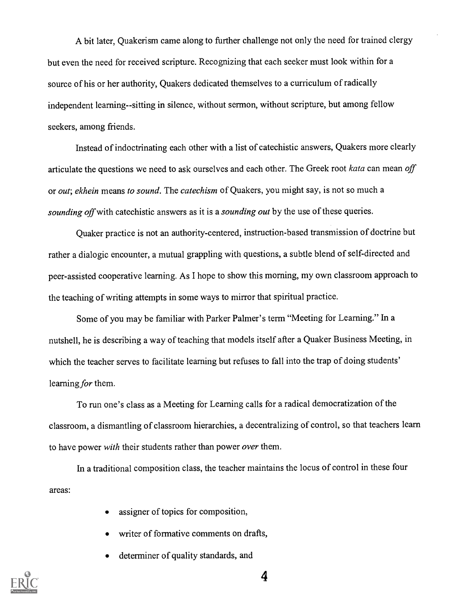A bit later, Quakerism came along to further challenge not only the need for trained clergy but even the need for received scripture. Recognizing that each seeker must look within for a source of his or her authority, Quakers dedicated themselves to a curriculum of radically independent learning--sitting in silence, without sermon, without scripture, but among fellow seekers, among friends.

Instead of indoctrinating each other with a list of catechistic answers, Quakers more clearly articulate the questions we need to ask ourselves and each other. The Greek root kata can mean off or *out; ekhein* means to sound. The catechism of Quakers, you might say, is not so much a sounding off with catechistic answers as it is a sounding out by the use of these queries.

Quaker practice is not an authority-centered, instruction-based transmission of doctrine but rather a dialogic encounter, a mutual grappling with questions, a subtle blend of self-directed and peer-assisted cooperative learning. As I hope to show this morning, my own classroom approach to the teaching of writing attempts in some ways to mirror that spiritual practice.

Some of you may be familiar with Parker Palmer's term "Meeting for Learning." In a nutshell, he is describing a way of teaching that models itself after a Quaker Business Meeting, in which the teacher serves to facilitate learning but refuses to fall into the trap of doing students' learning for them.

To run one's class as a Meeting for Learning calls for a radical democratization of the classroom, a dismantling of classroom hierarchies, a decentralizing of control, so that teachers learn to have power *with* their students rather than power *over* them.

In a traditional composition class, the teacher maintains the locus of control in these four areas:

- assigner of topics for composition,
- writer of formative comments on drafts,
- determiner of quality standards, and  $\bullet$

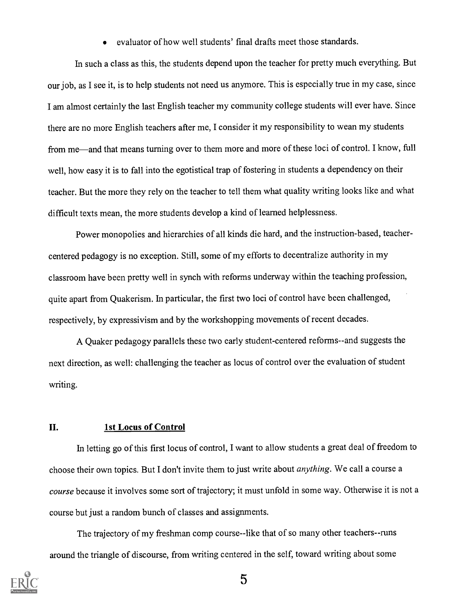evaluator of how well students' final drafts meet those standards.

In such a class as this, the students depend upon the teacher for pretty much everything. But our job, as I see it, is to help students not need us anymore. This is especially true in my case, since I am almost certainly the last English teacher my community college students will ever have. Since there are no more English teachers after me, I consider it my responsibility to wean my students from me—and that means turning over to them more and more of these loci of control. I know, full well, how easy it is to fall into the egotistical trap of fostering in students a dependency on their teacher. But the more they rely on the teacher to tell them what quality writing looks like and what difficult texts mean, the more students develop a kind of learned helplessness.

Power monopolies and hierarchies of all kinds die hard, and the instruction-based, teachercentered pedagogy is no exception. Still, some of my efforts to decentralize authority in my classroom have been pretty well in synch with reforms underway within the teaching profession, quite apart from Quakerism. In particular, the first two loci of control have been challenged, respectively, by expressivism and by the workshopping movements of recent decades.

A Quaker pedagogy parallels these two early student-centered reforms--and suggests the next direction, as well: challenging the teacher as locus of control over the evaluation of student writing.

#### II. 1st Locus of Control

In letting go of this first locus of control, I want to allow students a great deal of freedom to choose their own topics. But I don't invite them to just write about anything. We call a course a course because it involves some sort of trajectory; it must unfold in some way. Otherwise it is not a course but just a random bunch of classes and assignments.

The trajectory of my freshman comp course--like that of so many other teachers--runs around the triangle of discourse, from writing centered in the self, toward writing about some

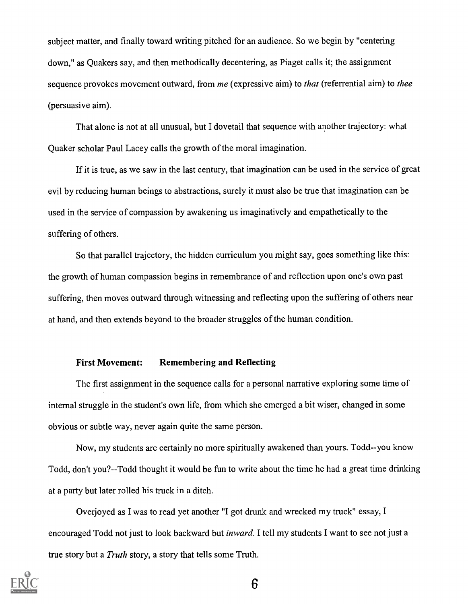subject matter, and finally toward writing pitched for an audience. So we begin by "centering down," as Quakers say, and then methodically decentering, as Piaget calls it; the assigmnent sequence provokes movement outward, from me (expressive aim) to *that* (referrential aim) to *thee* (persuasive aim).

That alone is not at all unusual, but I dovetail that sequence with another trajectory: what Quaker scholar Paul Lacey calls the growth of the moral imagination.

If it is true, as we saw in the last century, that imagination can be used in the service of great evil by reducing human beings to abstractions, surely it must also be true that imagination can be used in the service of compassion by awakening us imaginatively and empathetically to the suffering of others.

So that parallel trajectory, the hidden curriculum you might say, goes something like this: the growth of human compassion begins in remembrance of and reflection upon one's own past suffering, then moves outward through witnessing and reflecting upon the suffering of others near at hand, and then extends beyond to the broader struggles of the human condition.

#### First Movement: Remembering and Reflecting

The first assignment in the sequence calls for a personal narrative exploring some time of internal struggle in the student's own life, from which she emerged a bit wiser, changed in some obvious or subtle way, never again quite the same person.

Now, my students are certainly no more spiritually awakened than yours. Todd--you know Todd, don't you?--Todd thought it would be fun to write about the time he had a great time drinking at a party but later rolled his truck in a ditch.

Overjoyed as I was to read yet another "I got drunk and wrecked my truck" essay, I encouraged Todd not just to look backward but *inward*. I tell my students I want to see not just a true story but a Truth story, a story that tells some Truth.

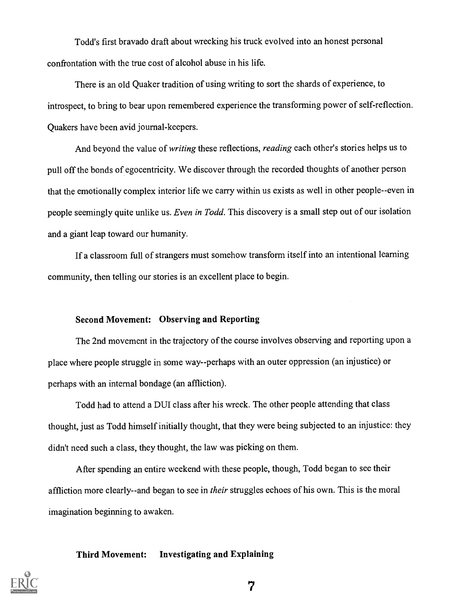Todd's first bravado draft about wrecking his truck evolved into an honest personal confrontation with the true cost of alcohol abuse in his life.

There is an old Quaker tradition of using writing to sort the shards of experience, to introspect, to bring to bear upon remembered experience the transforming power of self-reflection. Quakers have been avid journal-keepers.

And beyond the value of writing these reflections, reading each other's stories helps us to pull off the bonds of egocentricity. We discover through the recorded thoughts of another person that the emotionally complex interior life we carry within us exists as well in other people--even in people seemingly quite unlike us. Even in Todd. This discovery is a small step out of our isolation and a giant leap toward our humanity.

If a classroom full of strangers must somehow transform itself into an intentional learning community, then telling our stories is an excellent place to begin

### Second Movement: Observing and Reporting

The 2nd movement in the trajectory of the course involves observing and reporting upon a place where people struggle in some way--perhaps with an outer oppression (an injustice) or perhaps with an internal bondage (an affliction).

Todd had to attend a DUI class after his wreck. The other people attending that class thought, just as Todd himself initially thought, that they were being subjected to an injustice: they didn't need such a class, they thought, the law was picking on them.

After spending an entire weekend with these people, though, Todd began to see their affliction more clearly--and began to see in *their* struggles echoes of his own. This is the moral imagination beginning to awaken.

#### Third Movement: Investigating and Explaining

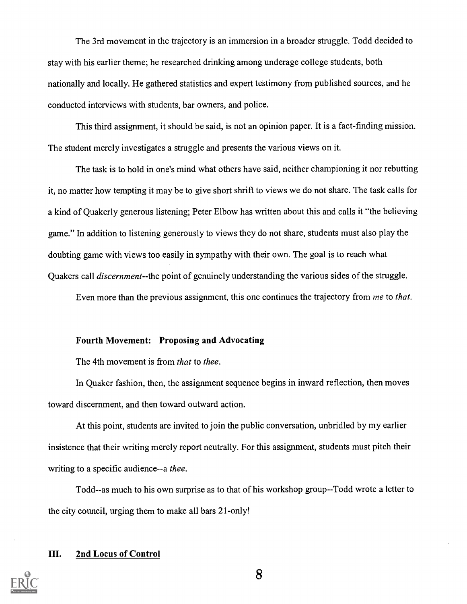The 3rd movement in the trajectory is an immersion in a broader struggle. Todd decided to stay with his earlier theme; he researched drinking among underage college students, both nationally and locally. He gathered statistics and expert testimony from published sources, and he conducted interviews with students, bar owners, and police.

This third assignment, it should be said, is not an opinion paper. It is a fact-finding mission. The student merely investigates a struggle and presents the various views on it.

The task is to hold in one's mind what others have said, neither championing it nor rebutting it, no matter how tempting it may be to give short shrift to views we do not share. The task calls for a kind of Quakerly generous listening; Peter Elbow has written about this and calls it "the believing game." In addition to listening generously to views they do not share, students must also play the doubting game with views too easily in sympathy with their own. The goal is to reach what Quakers call *discernment*--the point of genuinely understanding the various sides of the struggle.

Even more than the previous assignment, this one continues the trajectory from me to that.

#### Fourth Movement: Proposing and Advocating

The 4th movement is from *that* to *thee*.

In Quaker fashion, then, the assignment sequence begins in inward reflection, then moves toward discernment, and then toward outward action.

At this point, students are invited to join the public conversation, unbridled by my earlier insistence that their writing merely report neutrally. For this assignment, students must pitch their writing to a specific audience--a thee.

Todd--as much to his own surprise as to that of his workshop group--Todd wrote a letter to the city council, urging them to make all bars 21-only!

### III. 2nd Locus of Control

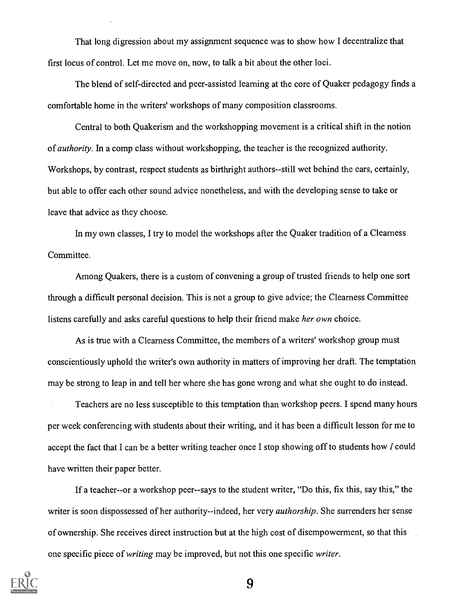That long digression about my assignment sequence was to show how I decentralize that first locus of control. Let me move on, now, to talk a bit about the other loci.

The blend of self-directed and peer-assisted learning at the core of Quaker pedagogy finds a comfortable home in the writers' workshops of many composition classrooms.

Central to both Quakerism and the workshopping movement is a critical shift in the notion of authority. In a comp class without workshopping, the teacher is the recognized authority. Workshops, by contrast, respect students as birthright authors--still wet behind the ears, certainly, but able to offer each other sound advice nonetheless, and with the developing sense to take or leave that advice as they choose.

In my own classes, I try to model the workshops after the Quaker tradition of a Clearness Committee.

Among Quakers, there is a custom of convening a group of trusted friends to help one sort through a difficult personal decision. This is not a group to give advice; the Clearness Committee listens carefully and asks careful questions to help their friend make her own choice.

As is true with a Clearness Committee, the members of a writers' workshop group must conscientiously uphold the writer's own authority in matters of improving her draft. The temptation may be strong to leap in and tell her where she has gone wrong and what she ought to do instead.

Teachers are no less susceptible to this temptation than workshop peers. I spend many hours per week conferencing with students about their writing, and it has been a difficult lesson for me to accept the fact that I can be a better writing teacher once I stop showing off to students how / could have written their paper better.

If a teacher--or a workshop peer--says to the student writer, "Do this, fix this, say this," the writer is soon dispossessed of her authority--indeed, her very *authorship*. She surrenders her sense of ownership. She receives direct instruction but at the high cost of disempowerment, so that this one specific piece of *writing* may be improved, but not this one specific *writer*.

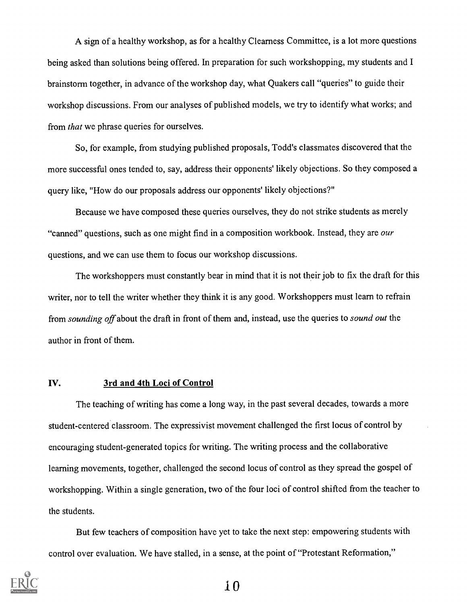A sign of a healthy workshop, as for a healthy Clearness Committee, is a lot more questions being asked than solutions being offered. In preparation for such workshopping, my students and I brainstorm together, in advance of the workshop day, what Quakers call "queries" to guide their workshop discussions. From our analyses of published models, we try to identify what works; and from that we phrase queries for ourselves.

So, for example, from studying published proposals, Todd's classmates discovered that the more successful ones tended to, say, address their opponents' likely objections. So they composed a query like, "How do our proposals address our opponents' likely objections?"

Because we have composed these queries ourselves, they do not strike students as merely "canned" questions, such as one might find in a composition workbook. Instead, they are *our* questions, and we can use them to focus our workshop discussions.

The workshoppers must constantly bear in mind that it is not their job to fix the draft for this writer, nor to tell the writer whether they think it is any good. Workshoppers must learn to refrain from sounding off about the draft in front of them and, instead, use the queries to sound out the author in front of them.

#### IV. 3rd and 4th Loci of Control

The teaching of writing has come a long way, in the past several decades, towards a more student-centered classroom. The expressivist movement challenged the first locus of control by encouraging student-generated topics for writing. The writing process and the collaborative learning movements, together, challenged the second locus of control as they spread the gospel of workshopping. Within a single generation, two of the four loci of control shifted from the teacher to the students.

But few teachers of composition have yet to take the next step: empowering students with control over evaluation. We have stalled, in a sense, at the point of "Protestant Reformation,"

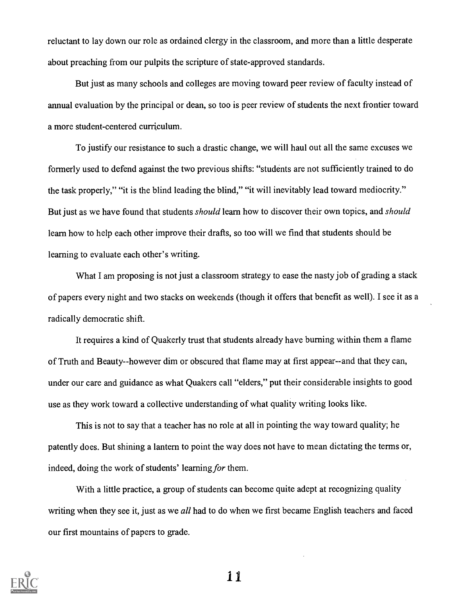reluctant to lay down our role as ordained clergy in the classroom, and more than a little desperate about preaching from our pulpits the scripture of state-approved standards.

But just as many schools and colleges are moving toward peer review of faculty instead of annual evaluation by the principal or dean, so too is peer review of students the next frontier toward a more student-centered curriculum.

To justify our resistance to such a drastic change, we will haul out all the same excuses we formerly used to defend against the two previous shifts: "students are not sufficiently trained to do the task properly," "it is the blind leading the blind," "it will inevitably lead toward mediocrity." But just as we have found that students *should* learn how to discover their own topics, and *should* learn how to help each other improve their drafts, so too will we find that students should be learning to evaluate each other's writing.

What I am proposing is not just a classroom strategy to ease the nasty job of grading a stack of papers every night and two stacks on weekends (though it offers that benefit as well). I see it as a radically democratic shift.

It requires a kind of Quakerly trust that students already have burning within them a flame of Truth and Beauty--however dim or obscured that flame may at first appear--and that they can, under our care and guidance as what Quakers call "elders," put their considerable insights to good use as they work toward a collective understanding of what quality writing looks like.

This is not to say that a teacher has no role at all in pointing the way toward quality; he patently does. But shining a lantern to point the way does not have to mean dictating the terms or, indeed, doing the work of students' learning for them.

With a little practice, a group of students can become quite adept at recognizing quality writing when they see it, just as we all had to do when we first became English teachers and faced our first mountains of papers to grade.

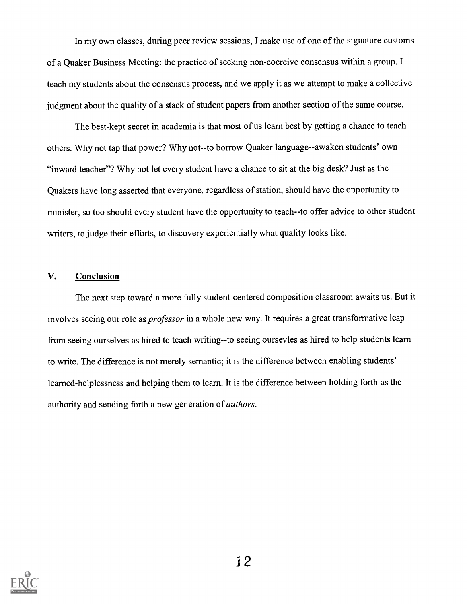In my own classes, during peer review sessions, I make use of one of the signature customs of a Quaker Business Meeting: the practice of seeking non-coercive consensus within a group. I teach my students about the consensus process, and we apply it as we attempt to make a collective judgment about the quality of a stack of student papers from another section of the same course.

The best-kept secret in academia is that most of us learn best by getting a chance to teach others. Why not tap that power? Why not--to borrow Quaker language--awaken students' own "inward teacher"? Why not let every student have a chance to sit at the big desk? Just as the Quakers have long asserted that everyone, regardless of station, should have the opportunity to minister, so too should every student have the opportunity to teach--to offer advice to other student writers, to judge their efforts, to discovery experientially what quality looks like.

#### V. Conclusion

The next step toward a more fully student-centered composition classroom awaits us. But it involves seeing our role as *professor* in a whole new way. It requires a great transformative leap from seeing ourselves as hired to teach writing--to seeing oursevles as hired to help students learn to write. The difference is not merely semantic; it is the difference between enabling students' learned-helplessness and helping them to learn. It is the difference between holding forth as the authority and sending forth a new generation of authors.